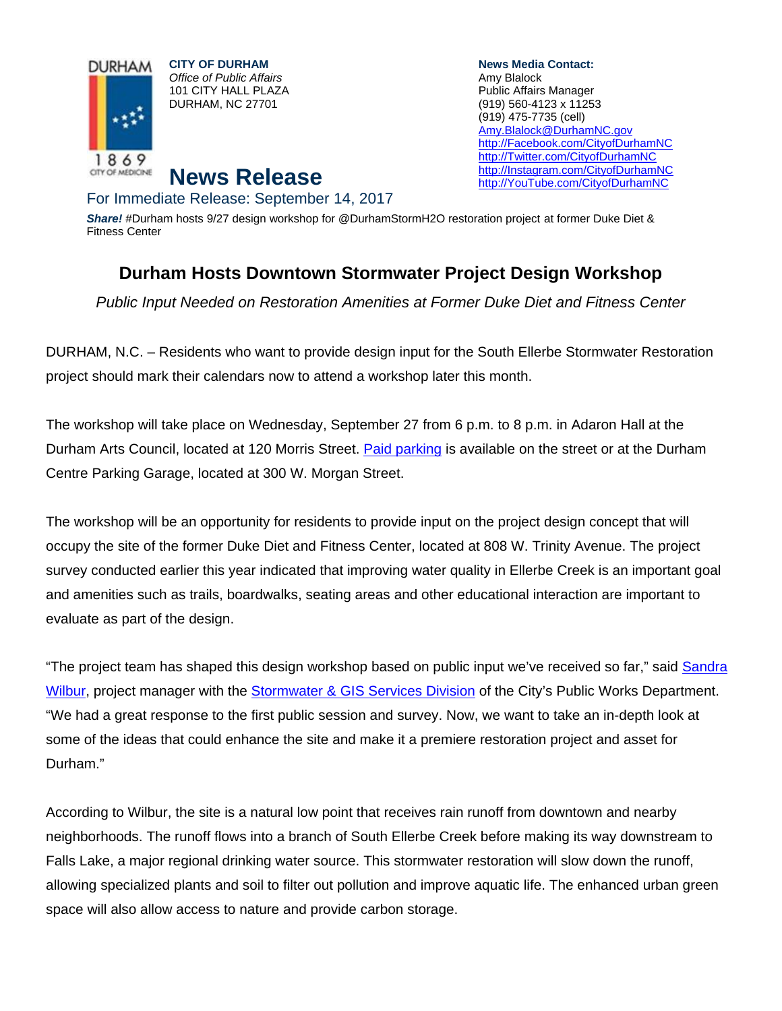

**CITY OF DURHAM**  *Office of Public Affairs*  101 CITY HALL PLAZA DURHAM, NC 27701

**News Media Contact:**  Amy Blalock Public Affairs Manager (919) 560-4123 x 11253 (919) 475-7735 (cell) Amy.Blalock@DurhamNC.gov http://Facebook.com/CityofDurhamNC http://Twitter.com/CityofDurhamNC http://Instagram.com/CityofDurhamNC http://YouTube.com/CityofDurhamNC

## **News Release**  For Immediate Release: September 14, 2017

*Share!* #Durham hosts 9/27 design workshop for @DurhamStormH2O restoration project at former Duke Diet & Fitness Center

## **Durham Hosts Downtown Stormwater Project Design Workshop**

*Public Input Needed on Restoration Amenities at Former Duke Diet and Fitness Center* 

DURHAM, N.C. – Residents who want to provide design input for the South Ellerbe Stormwater Restoration project should mark their calendars now to attend a workshop later this month.

The workshop will take place on Wednesday, September 27 from 6 p.m. to 8 p.m. in Adaron Hall at the Durham Arts Council, located at 120 Morris Street. Paid parking is available on the street or at the Durham Centre Parking Garage, located at 300 W. Morgan Street.

The workshop will be an opportunity for residents to provide input on the project design concept that will occupy the site of the former Duke Diet and Fitness Center, located at 808 W. Trinity Avenue. The project survey conducted earlier this year indicated that improving water quality in Ellerbe Creek is an important goal and amenities such as trails, boardwalks, seating areas and other educational interaction are important to evaluate as part of the design.

"The project team has shaped this design workshop based on public input we've received so far," said Sandra Wilbur, project manager with the Stormwater & GIS Services Division of the City's Public Works Department. "We had a great response to the first public session and survey. Now, we want to take an in-depth look at some of the ideas that could enhance the site and make it a premiere restoration project and asset for Durham."

According to Wilbur, the site is a natural low point that receives rain runoff from downtown and nearby neighborhoods. The runoff flows into a branch of South Ellerbe Creek before making its way downstream to Falls Lake, a major regional drinking water source. This stormwater restoration will slow down the runoff, allowing specialized plants and soil to filter out pollution and improve aquatic life. The enhanced urban green space will also allow access to nature and provide carbon storage.